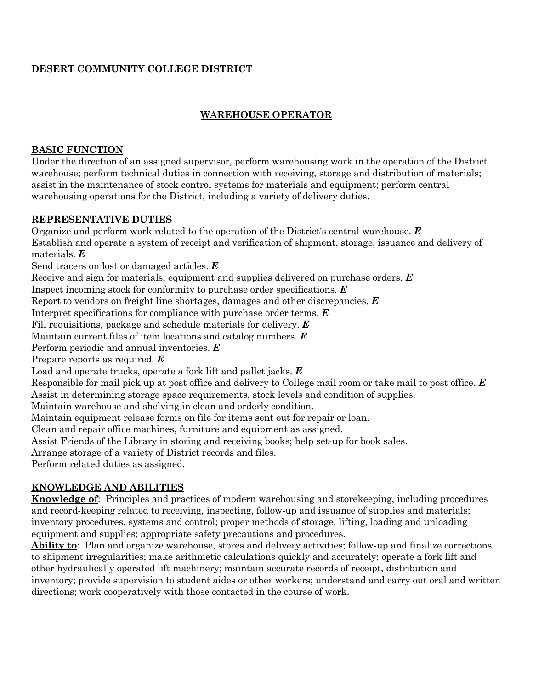# **DESERT COMMUNITY COLLEGE DISTRICT**

# **WAREHOUSE OPERATOR**

### **BASIC FUNCTION**

Under the direction of an assigned supervisor, perform warehousing work in the operation of the District warehouse; perform technical duties in connection with receiving, storage and distribution of materials; assist in the maintenance of stock control systems for materials and equipment; perform central warehousing operations for the District, including a variety of delivery duties.

### **REPRESENTATIVE DUTIES**

Organize and perform work related to the operation of the District's central warehouse. *E* Establish and operate a system of receipt and verification of shipment, storage, issuance and delivery of materials. *E* Send tracers on lost or damaged articles. *E* Receive and sign for materials, equipment and supplies delivered on purchase orders. *E* Inspect incoming stock for conformity to purchase order specifications. *E* Report to vendors on freight line shortages, damages and other discrepancies. *E* Interpret specifications for compliance with purchase order terms. *E* Fill requisitions, package and schedule materials for delivery. *E* Maintain current files of item locations and catalog numbers. *E* Perform periodic and annual inventories. *E* Prepare reports as required. *E* Load and operate trucks, operate a fork lift and pallet jacks. *E* Responsible for mail pick up at post office and delivery to College mail room or take mail to post office. *E* Assist in determining storage space requirements, stock levels and condition of supplies. Maintain warehouse and shelving in clean and orderly condition. Maintain equipment release forms on file for items sent out for repair or loan. Clean and repair office machines, furniture and equipment as assigned. Assist Friends of the Library in storing and receiving books; help set-up for book sales. Arrange storage of a variety of District records and files. Perform related duties as assigned.

## **KNOWLEDGE AND ABILITIES**

**Knowledge of**: Principles and practices of modern warehousing and storekeeping, including procedures and record-keeping related to receiving, inspecting, follow-up and issuance of supplies and materials; inventory procedures, systems and control; proper methods of storage, lifting, loading and unloading equipment and supplies; appropriate safety precautions and procedures.

**Ability to**: Plan and organize warehouse, stores and delivery activities; follow-up and finalize corrections to shipment irregularities; make arithmetic calculations quickly and accurately; operate a fork lift and other hydraulically operated lift machinery; maintain accurate records of receipt, distribution and inventory; provide supervision to student aides or other workers; understand and carry out oral and written directions; work cooperatively with those contacted in the course of work.